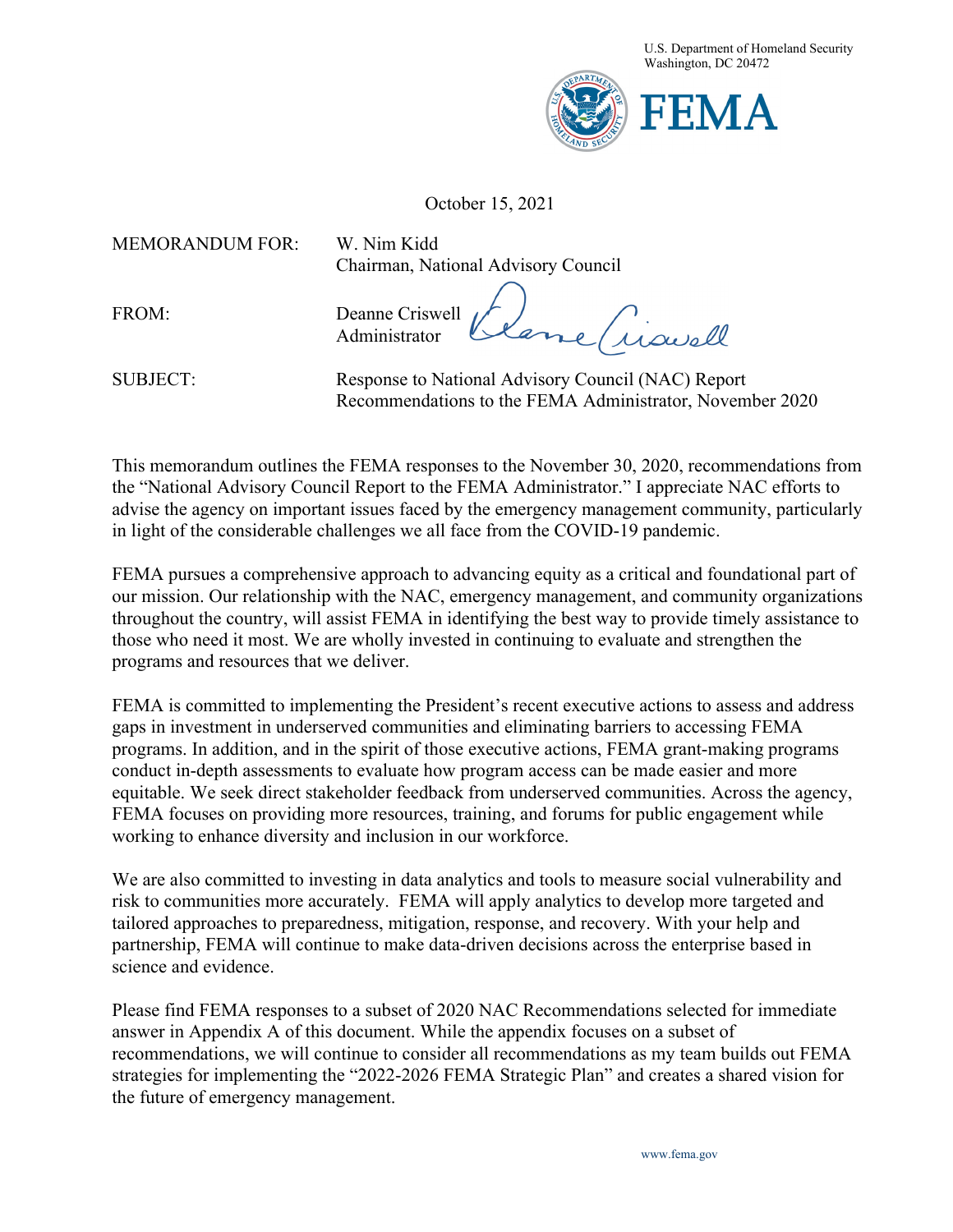

October 15, 2021

MEMORANDUM FOR: W. Nim Kidd

Chairman, National Advisory Council

FROM: Deanne Criswell Tisuell Administrator

SUBJECT: Response to National Advisory Council (NAC) Report Recommendations to the FEMA Administrator, November 2020

This memorandum outlines the FEMA responses to the November 30, 2020, recommendations from the "National Advisory Council Report to the FEMA Administrator." I appreciate NAC efforts to advise the agency on important issues faced by the emergency management community, particularly in light of the considerable challenges we all face from the COVID-19 pandemic.

FEMA pursues a comprehensive approach to advancing equity as a critical and foundational part of our mission. Our relationship with the NAC, emergency management, and community organizations throughout the country, will assist FEMA in identifying the best way to provide timely assistance to those who need it most. We are wholly invested in continuing to evaluate and strengthen the programs and resources that we deliver.

FEMA is committed to implementing the President's recent executive actions to assess and address gaps in investment in underserved communities and eliminating barriers to accessing FEMA programs. In addition, and in the spirit of those executive actions, FEMA grant-making programs conduct in-depth assessments to evaluate how program access can be made easier and more equitable. We seek direct stakeholder feedback from underserved communities. Across the agency, FEMA focuses on providing more resources, training, and forums for public engagement while working to enhance diversity and inclusion in our workforce.

We are also committed to investing in data analytics and tools to measure social vulnerability and risk to communities more accurately. FEMA will apply analytics to develop more targeted and tailored approaches to preparedness, mitigation, response, and recovery. With your help and partnership, FEMA will continue to make data-driven decisions across the enterprise based in science and evidence.

Please find FEMA responses to a subset of 2020 NAC Recommendations selected for immediate answer in Appendix A of this document. While the appendix focuses on a subset of recommendations, we will continue to consider all recommendations as my team builds out FEMA strategies for implementing the "2022-2026 FEMA Strategic Plan" and creates a shared vision for the future of emergency management.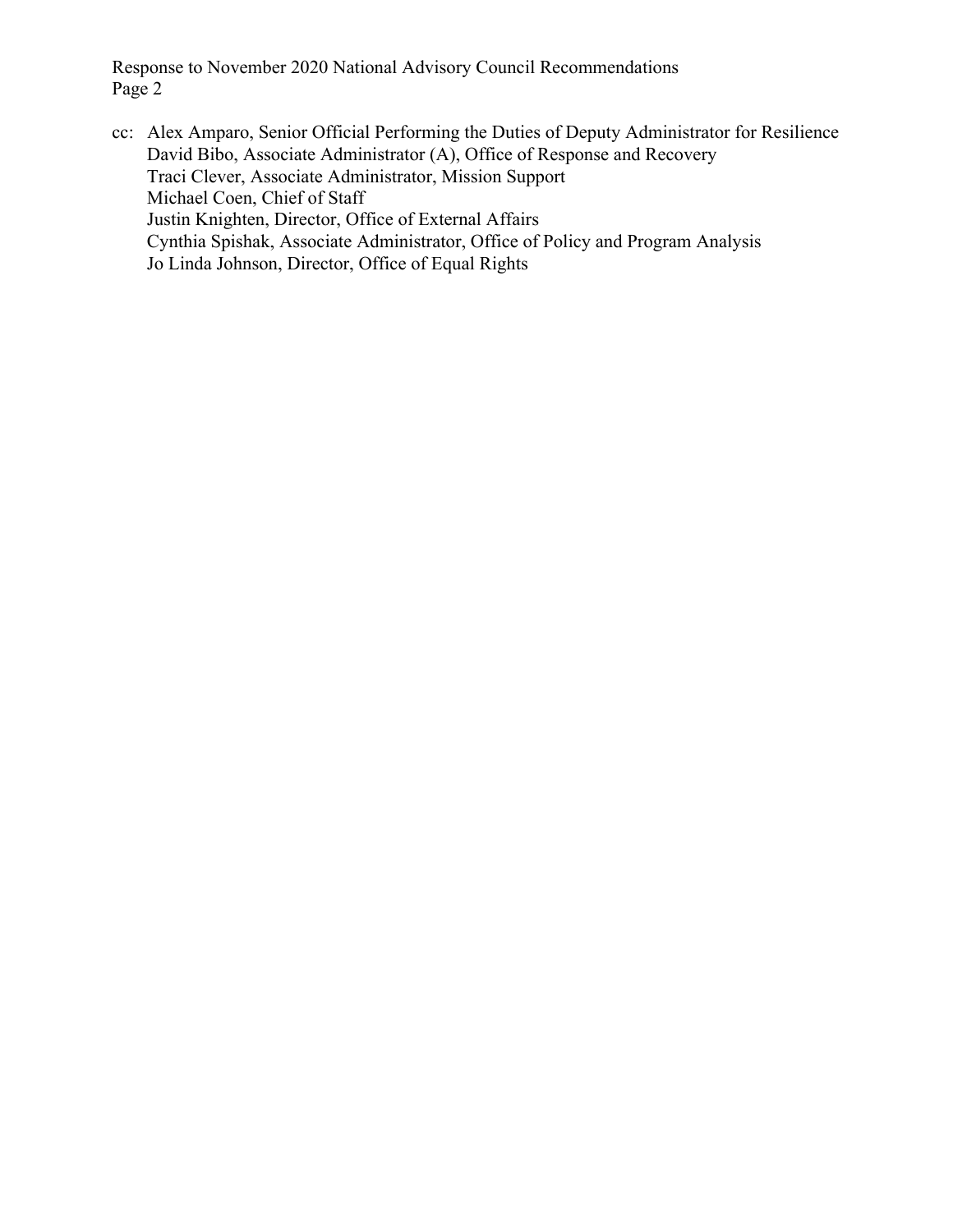cc: Alex Amparo, Senior Official Performing the Duties of Deputy Administrator for Resilience David Bibo, Associate Administrator (A), Office of Response and Recovery Traci Clever, Associate Administrator, Mission Support Michael Coen, Chief of Staff Justin Knighten, Director, Office of External Affairs Cynthia Spishak, Associate Administrator, Office of Policy and Program Analysis Jo Linda Johnson, Director, Office of Equal Rights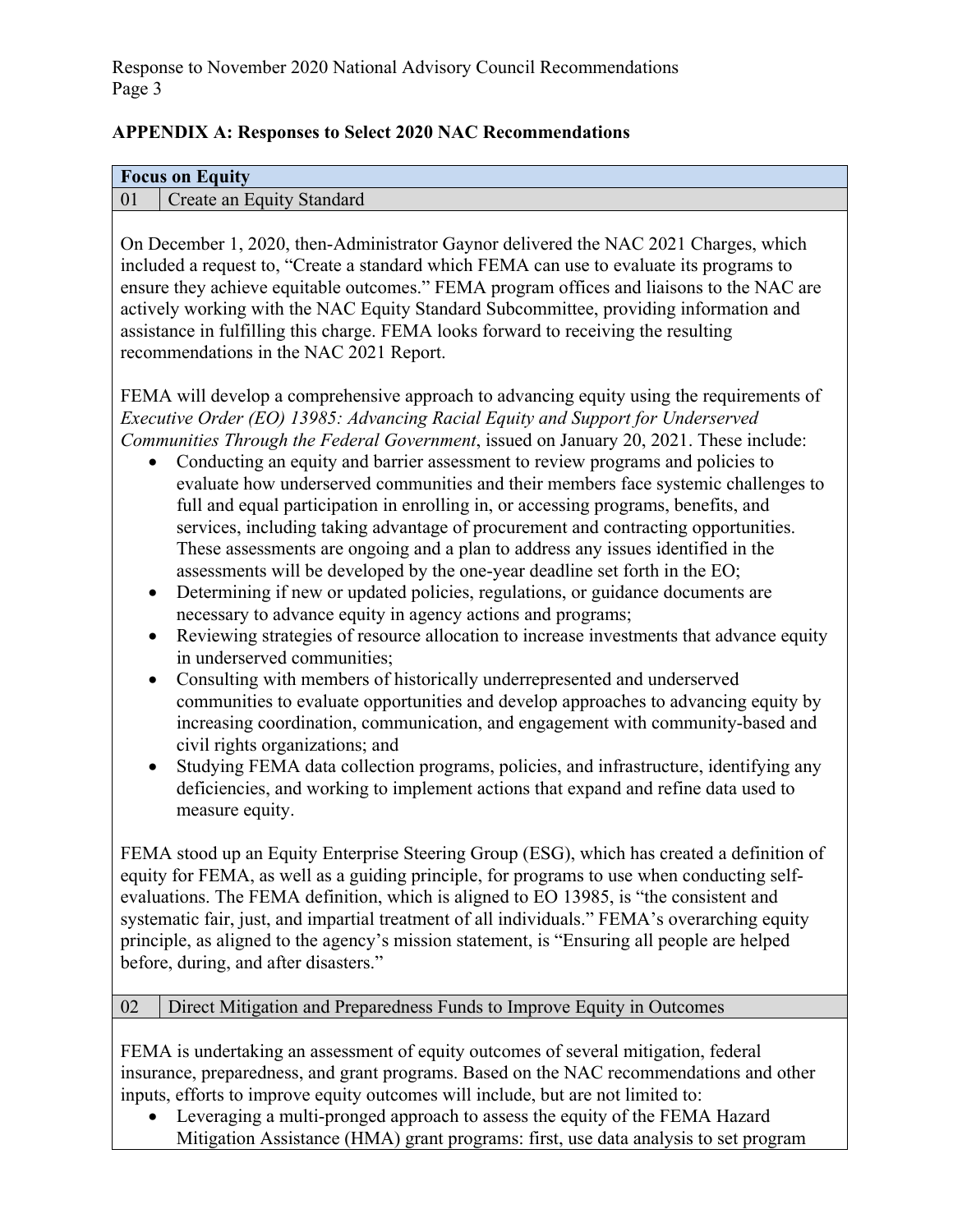### **APPENDIX A: Responses to Select 2020 NAC Recommendations**

#### **Focus on Equity**  01 Create an Equity Standard

On December 1, 2020, then-Administrator Gaynor delivered the NAC 2021 Charges, which included a request to, "Create a standard which FEMA can use to evaluate its programs to ensure they achieve equitable outcomes." FEMA program offices and liaisons to the NAC are actively working with the NAC Equity Standard Subcommittee, providing information and assistance in fulfilling this charge. FEMA looks forward to receiving the resulting recommendations in the NAC 2021 Report.

FEMA will develop a comprehensive approach to advancing equity using the requirements of *Executive Order (EO) 13985: Advancing Racial Equity and Support for Underserved Communities Through the Federal Government*, issued on January 20, 2021. These include:

- Conducting an equity and barrier assessment to review programs and policies to evaluate how underserved communities and their members face systemic challenges to full and equal participation in enrolling in, or accessing programs, benefits, and services, including taking advantage of procurement and contracting opportunities. These assessments are ongoing and a plan to address any issues identified in the assessments will be developed by the one-year deadline set forth in the EO;
- Determining if new or updated policies, regulations, or guidance documents are necessary to advance equity in agency actions and programs;
- Reviewing strategies of resource allocation to increase investments that advance equity in underserved communities;
- Consulting with members of historically underrepresented and underserved communities to evaluate opportunities and develop approaches to advancing equity by increasing coordination, communication, and engagement with community-based and civil rights organizations; and
- Studying FEMA data collection programs, policies, and infrastructure, identifying any deficiencies, and working to implement actions that expand and refine data used to measure equity.

FEMA stood up an Equity Enterprise Steering Group (ESG), which has created a definition of equity for FEMA, as well as a guiding principle, for programs to use when conducting selfevaluations. The FEMA definition, which is aligned to EO 13985, is "the consistent and systematic fair, just, and impartial treatment of all individuals." FEMA's overarching equity principle, as aligned to the agency's mission statement, is "Ensuring all people are helped before, during, and after disasters."

## 02 Direct Mitigation and Preparedness Funds to Improve Equity in Outcomes

FEMA is undertaking an assessment of equity outcomes of several mitigation, federal insurance, preparedness, and grant programs. Based on the NAC recommendations and other inputs, efforts to improve equity outcomes will include, but are not limited to:

 Leveraging a multi-pronged approach to assess the equity of the FEMA Hazard Mitigation Assistance (HMA) grant programs: first, use data analysis to set program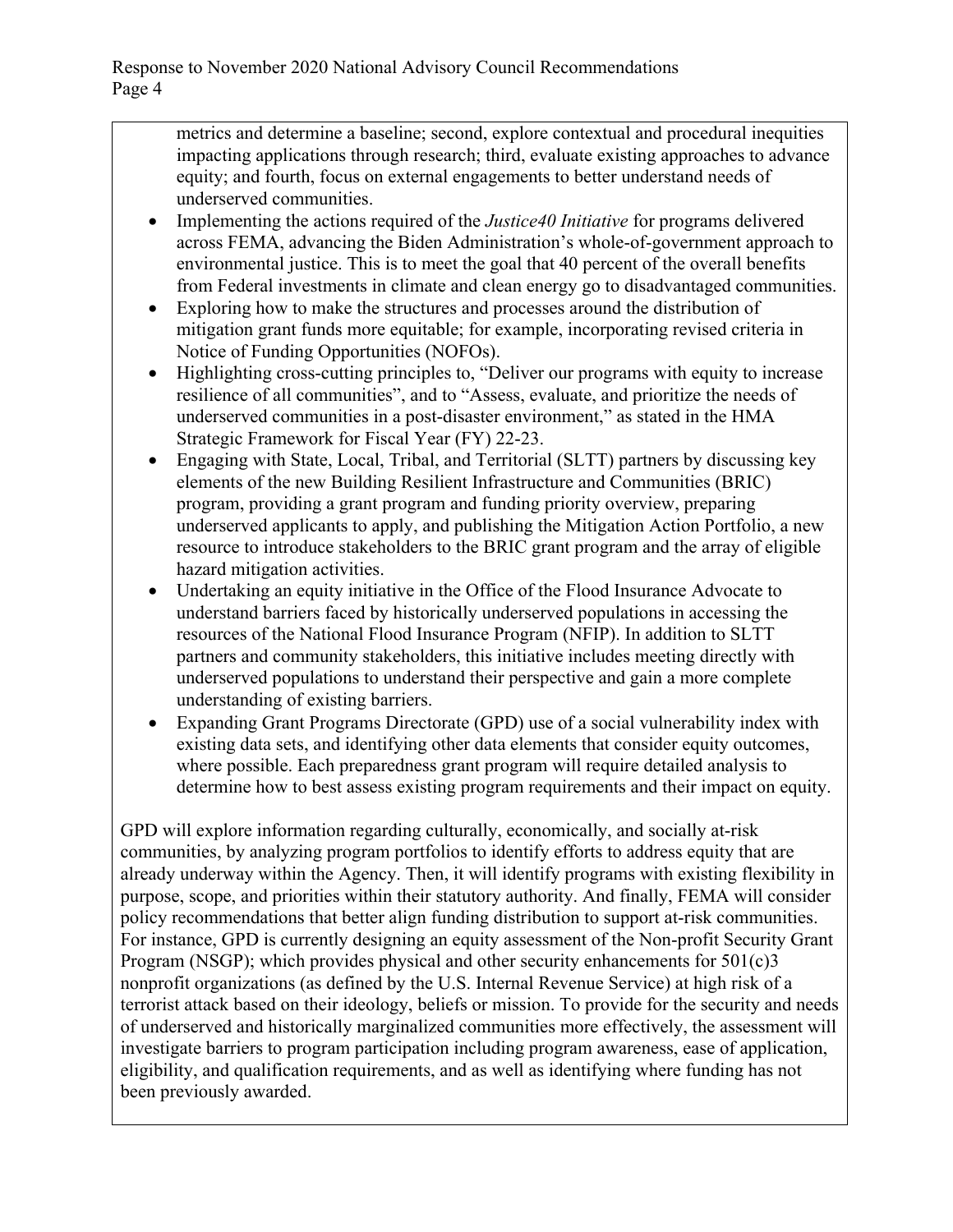metrics and determine a baseline; second, explore contextual and procedural inequities impacting applications through research; third, evaluate existing approaches to advance equity; and fourth, focus on external engagements to better understand needs of underserved communities.

- Implementing the actions required of the *Justice40 Initiative* for programs delivered across FEMA, advancing the Biden Administration's whole-of-government approach to environmental justice. This is to meet the goal that 40 percent of the overall benefits from Federal investments in climate and clean energy go to disadvantaged communities.
- Exploring how to make the structures and processes around the distribution of mitigation grant funds more equitable; for example, incorporating revised criteria in Notice of Funding Opportunities (NOFOs).
- Highlighting cross-cutting principles to, "Deliver our programs with equity to increase resilience of all communities", and to "Assess, evaluate, and prioritize the needs of underserved communities in a post-disaster environment," as stated in the HMA Strategic Framework for Fiscal Year (FY) 22-23.
- Engaging with State, Local, Tribal, and Territorial (SLTT) partners by discussing key elements of the new Building Resilient Infrastructure and Communities (BRIC) program, providing a grant program and funding priority overview, preparing underserved applicants to apply, and publishing the Mitigation Action Portfolio, a new resource to introduce stakeholders to the BRIC grant program and the array of eligible hazard mitigation activities.
- Undertaking an equity initiative in the Office of the Flood Insurance Advocate to understand barriers faced by historically underserved populations in accessing the resources of the National Flood Insurance Program (NFIP). In addition to SLTT partners and community stakeholders, this initiative includes meeting directly with underserved populations to understand their perspective and gain a more complete understanding of existing barriers.
- Expanding Grant Programs Directorate (GPD) use of a social vulnerability index with existing data sets, and identifying other data elements that consider equity outcomes, where possible. Each preparedness grant program will require detailed analysis to determine how to best assess existing program requirements and their impact on equity.

GPD will explore information regarding culturally, economically, and socially at-risk communities, by analyzing program portfolios to identify efforts to address equity that are already underway within the Agency. Then, it will identify programs with existing flexibility in purpose, scope, and priorities within their statutory authority. And finally, FEMA will consider policy recommendations that better align funding distribution to support at-risk communities. For instance, GPD is currently designing an equity assessment of the Non-profit Security Grant Program (NSGP); which provides physical and other security enhancements for 501(c)3 nonprofit organizations (as defined by the U.S. Internal Revenue Service) at high risk of a terrorist attack based on their ideology, beliefs or mission. To provide for the security and needs of underserved and historically marginalized communities more effectively, the assessment will investigate barriers to program participation including program awareness, ease of application, eligibility, and qualification requirements, and as well as identifying where funding has not been previously awarded.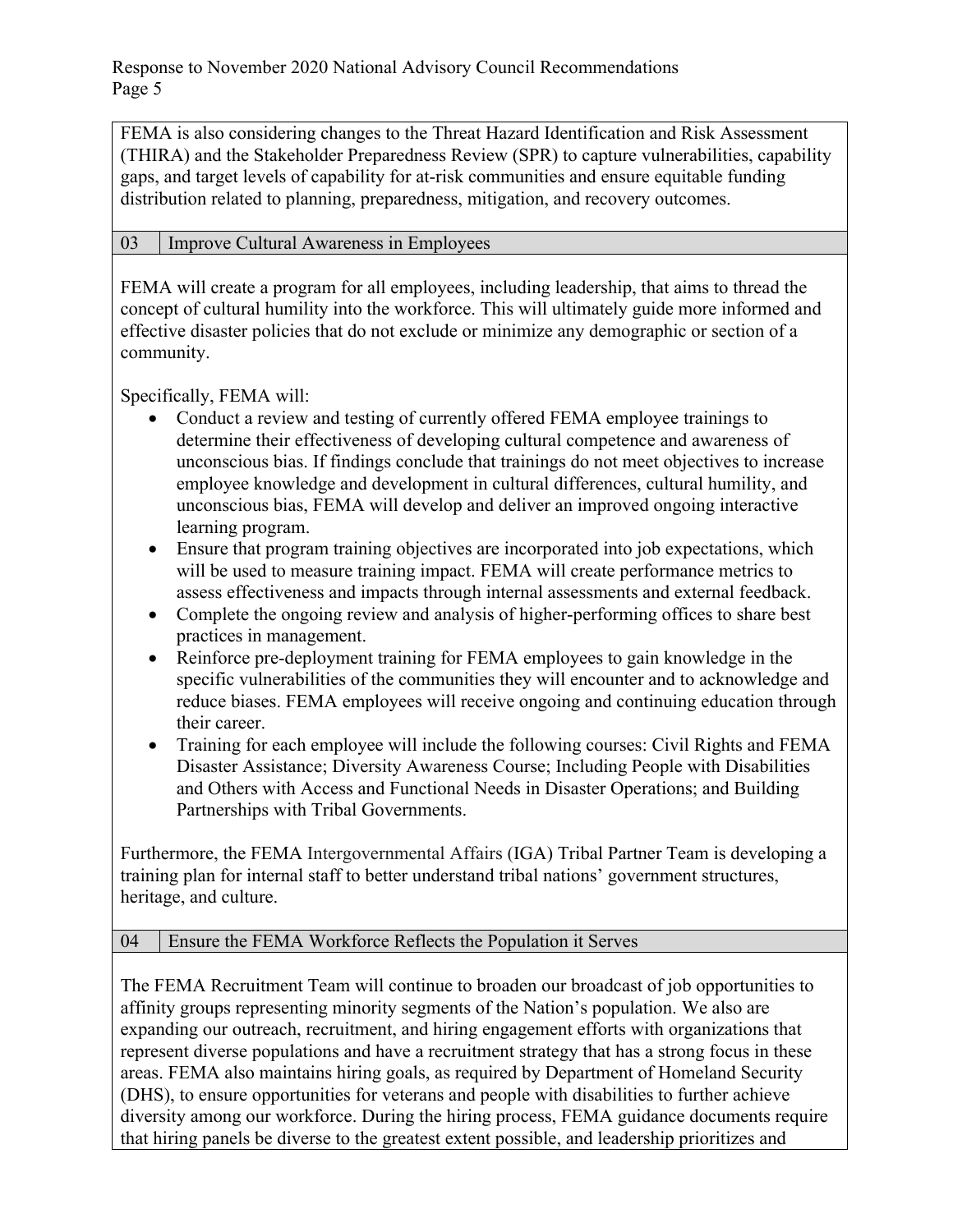FEMA is also considering changes to the Threat Hazard Identification and Risk Assessment (THIRA) and the Stakeholder Preparedness Review (SPR) to capture vulnerabilities, capability gaps, and target levels of capability for at-risk communities and ensure equitable funding distribution related to planning, preparedness, mitigation, and recovery outcomes.

### 03 Improve Cultural Awareness in Employees

FEMA will create a program for all employees, including leadership, that aims to thread the concept of cultural humility into the workforce. This will ultimately guide more informed and effective disaster policies that do not exclude or minimize any demographic or section of a community.

Specifically, FEMA will:

- Conduct a review and testing of currently offered FEMA employee trainings to determine their effectiveness of developing cultural competence and awareness of unconscious bias. If findings conclude that trainings do not meet objectives to increase employee knowledge and development in cultural differences, cultural humility, and unconscious bias, FEMA will develop and deliver an improved ongoing interactive learning program.
- Ensure that program training objectives are incorporated into job expectations, which will be used to measure training impact. FEMA will create performance metrics to assess effectiveness and impacts through internal assessments and external feedback.
- Complete the ongoing review and analysis of higher-performing offices to share best practices in management.
- Reinforce pre-deployment training for FEMA employees to gain knowledge in the specific vulnerabilities of the communities they will encounter and to acknowledge and reduce biases. FEMA employees will receive ongoing and continuing education through their career.
- Training for each employee will include the following courses: Civil Rights and FEMA Disaster Assistance; Diversity Awareness Course; Including People with Disabilities and Others with Access and Functional Needs in Disaster Operations; and Building Partnerships with Tribal Governments.

Furthermore, the FEMA Intergovernmental Affairs (IGA) Tribal Partner Team is developing a training plan for internal staff to better understand tribal nations' government structures, heritage, and culture.

## 04 Ensure the FEMA Workforce Reflects the Population it Serves

The FEMA Recruitment Team will continue to broaden our broadcast of job opportunities to affinity groups representing minority segments of the Nation's population. We also are expanding our outreach, recruitment, and hiring engagement efforts with organizations that represent diverse populations and have a recruitment strategy that has a strong focus in these areas. FEMA also maintains hiring goals, as required by Department of Homeland Security (DHS), to ensure opportunities for veterans and people with disabilities to further achieve diversity among our workforce. During the hiring process, FEMA guidance documents require that hiring panels be diverse to the greatest extent possible, and leadership prioritizes and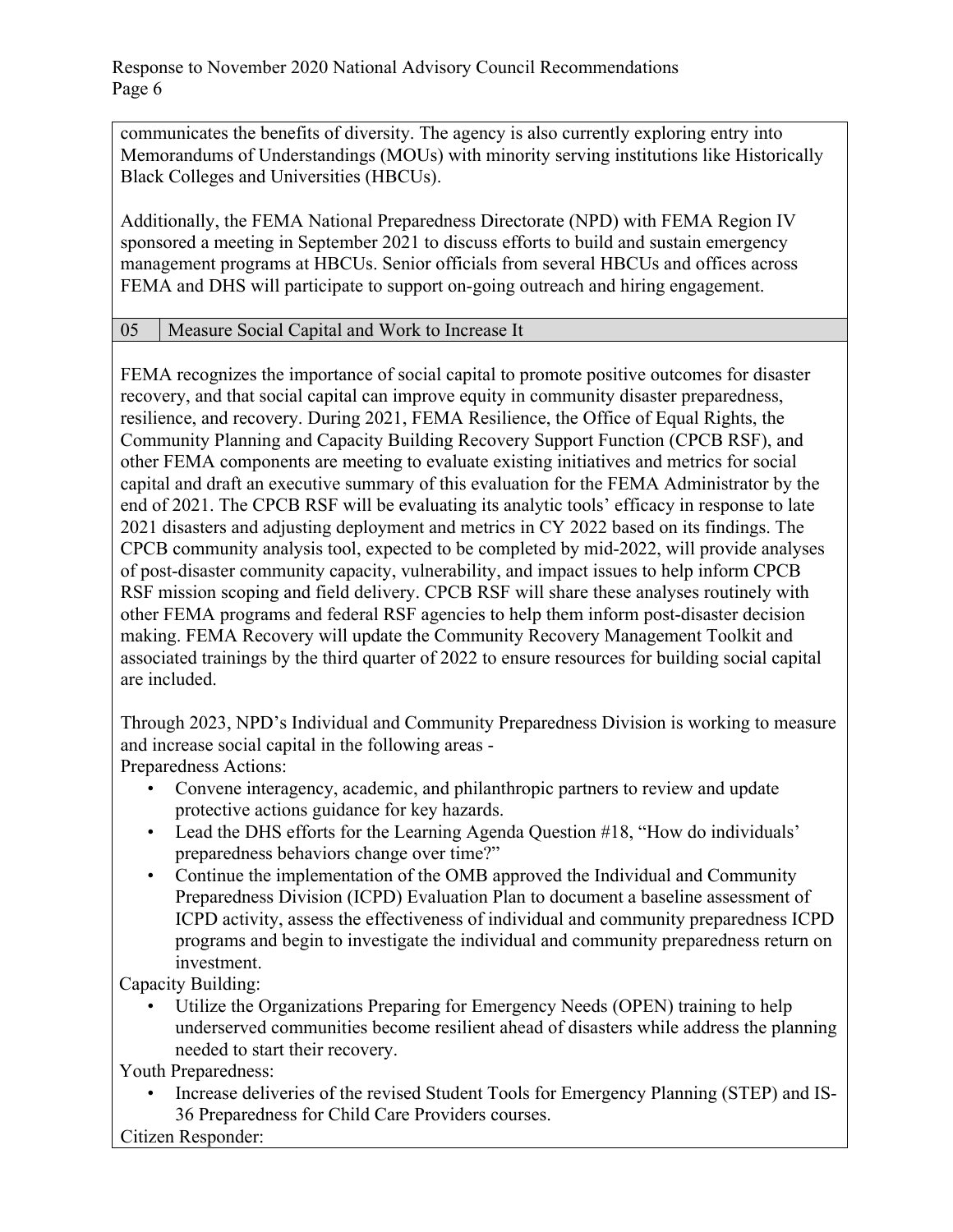communicates the benefits of diversity. The agency is also currently exploring entry into Memorandums of Understandings (MOUs) with minority serving institutions like Historically Black Colleges and Universities (HBCUs).

Additionally, the FEMA National Preparedness Directorate (NPD) with FEMA Region IV sponsored a meeting in September 2021 to discuss efforts to build and sustain emergency management programs at HBCUs. Senior officials from several HBCUs and offices across FEMA and DHS will participate to support on-going outreach and hiring engagement.

### 05 Measure Social Capital and Work to Increase It

FEMA recognizes the importance of social capital to promote positive outcomes for disaster recovery, and that social capital can improve equity in community disaster preparedness, resilience, and recovery. During 2021, FEMA Resilience, the Office of Equal Rights, the Community Planning and Capacity Building Recovery Support Function (CPCB RSF), and other FEMA components are meeting to evaluate existing initiatives and metrics for social capital and draft an executive summary of this evaluation for the FEMA Administrator by the end of 2021. The CPCB RSF will be evaluating its analytic tools' efficacy in response to late 2021 disasters and adjusting deployment and metrics in CY 2022 based on its findings. The CPCB community analysis tool, expected to be completed by mid-2022, will provide analyses of post-disaster community capacity, vulnerability, and impact issues to help inform CPCB RSF mission scoping and field delivery. CPCB RSF will share these analyses routinely with other FEMA programs and federal RSF agencies to help them inform post-disaster decision making. FEMA Recovery will update the Community Recovery Management Toolkit and associated trainings by the third quarter of 2022 to ensure resources for building social capital are included.

Through 2023, NPD's Individual and Community Preparedness Division is working to measure and increase social capital in the following areas - Preparedness Actions:

• Convene interagency, academic, and philanthropic partners to review and update protective actions guidance for key hazards.

- Lead the DHS efforts for the Learning Agenda Question #18, "How do individuals' preparedness behaviors change over time?"
- Continue the implementation of the OMB approved the Individual and Community Preparedness Division (ICPD) Evaluation Plan to document a baseline assessment of ICPD activity, assess the effectiveness of individual and community preparedness ICPD programs and begin to investigate the individual and community preparedness return on investment.

Capacity Building:

Utilize the Organizations Preparing for Emergency Needs (OPEN) training to help underserved communities become resilient ahead of disasters while address the planning needed to start their recovery.

Youth Preparedness:

• Increase deliveries of the revised Student Tools for Emergency Planning (STEP) and IS-36 Preparedness for Child Care Providers courses.

Citizen Responder: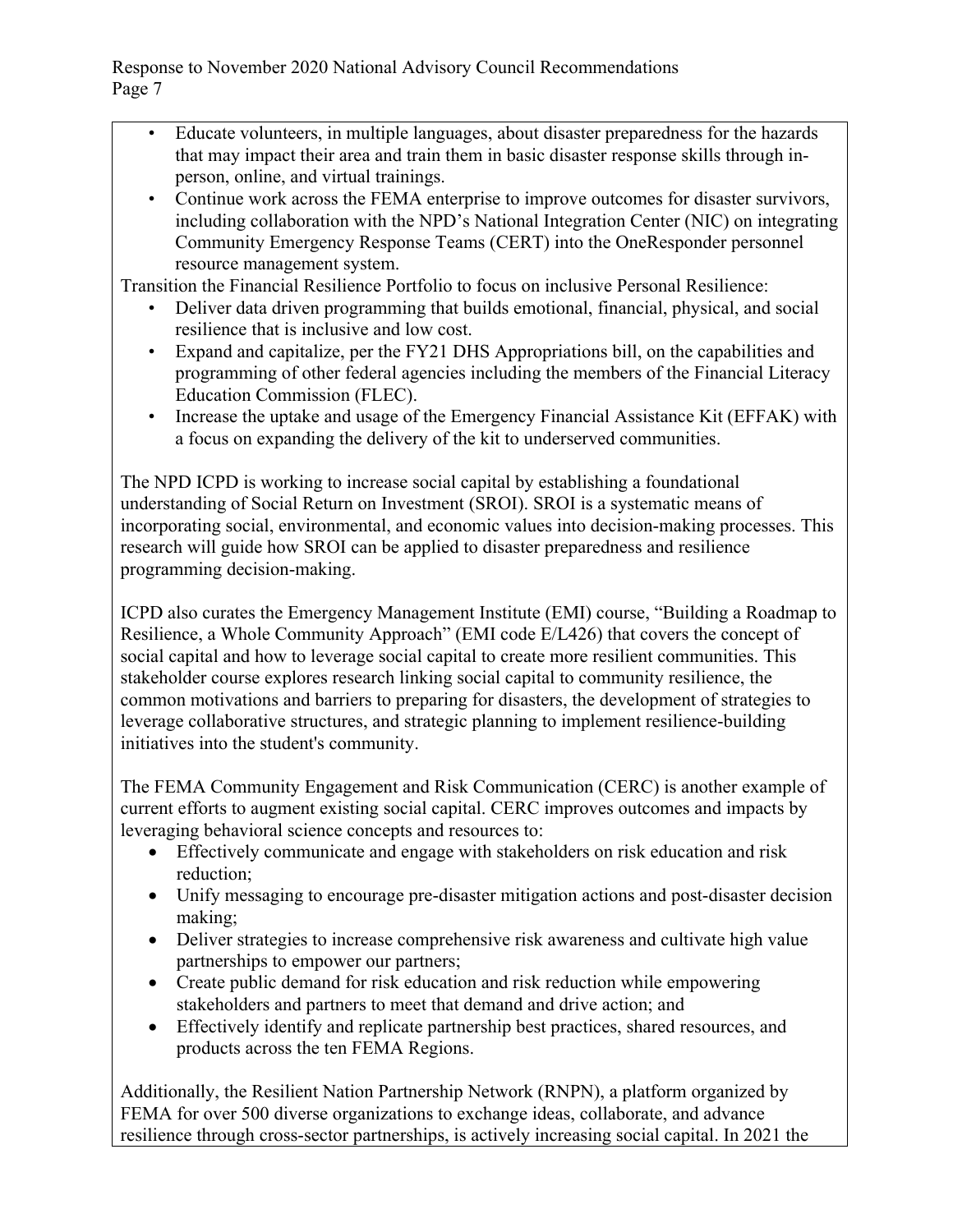- Educate volunteers, in multiple languages, about disaster preparedness for the hazards that may impact their area and train them in basic disaster response skills through inperson, online, and virtual trainings.
- Continue work across the FEMA enterprise to improve outcomes for disaster survivors, including collaboration with the NPD's National Integration Center (NIC) on integrating Community Emergency Response Teams (CERT) into the OneResponder personnel resource management system.

Transition the Financial Resilience Portfolio to focus on inclusive Personal Resilience:

- Deliver data driven programming that builds emotional, financial, physical, and social resilience that is inclusive and low cost.
- Expand and capitalize, per the FY21 DHS Appropriations bill, on the capabilities and programming of other federal agencies including the members of the Financial Literacy Education Commission (FLEC).
- Increase the uptake and usage of the Emergency Financial Assistance Kit (EFFAK) with a focus on expanding the delivery of the kit to underserved communities.

The NPD ICPD is working to increase social capital by establishing a foundational understanding of Social Return on Investment (SROI). SROI is a systematic means of incorporating social, environmental, and economic values into decision-making processes. This research will guide how SROI can be applied to disaster preparedness and resilience programming decision-making.

ICPD also curates the Emergency Management Institute (EMI) course, "Building a Roadmap to Resilience, a Whole Community Approach" (EMI code E/L426) that covers the concept of social capital and how to leverage social capital to create more resilient communities. This stakeholder course explores research linking social capital to community resilience, the common motivations and barriers to preparing for disasters, the development of strategies to leverage collaborative structures, and strategic planning to implement resilience-building initiatives into the student's community.

The FEMA Community Engagement and Risk Communication (CERC) is another example of current efforts to augment existing social capital. CERC improves outcomes and impacts by leveraging behavioral science concepts and resources to:

- Effectively communicate and engage with stakeholders on risk education and risk reduction;
- Unify messaging to encourage pre-disaster mitigation actions and post-disaster decision making;
- Deliver strategies to increase comprehensive risk awareness and cultivate high value partnerships to empower our partners;
- Create public demand for risk education and risk reduction while empowering stakeholders and partners to meet that demand and drive action; and
- Effectively identify and replicate partnership best practices, shared resources, and products across the ten FEMA Regions.

Additionally, the Resilient Nation Partnership Network (RNPN), a platform organized by FEMA for over 500 diverse organizations to exchange ideas, collaborate, and advance resilience through cross-sector partnerships, is actively increasing social capital. In 2021 the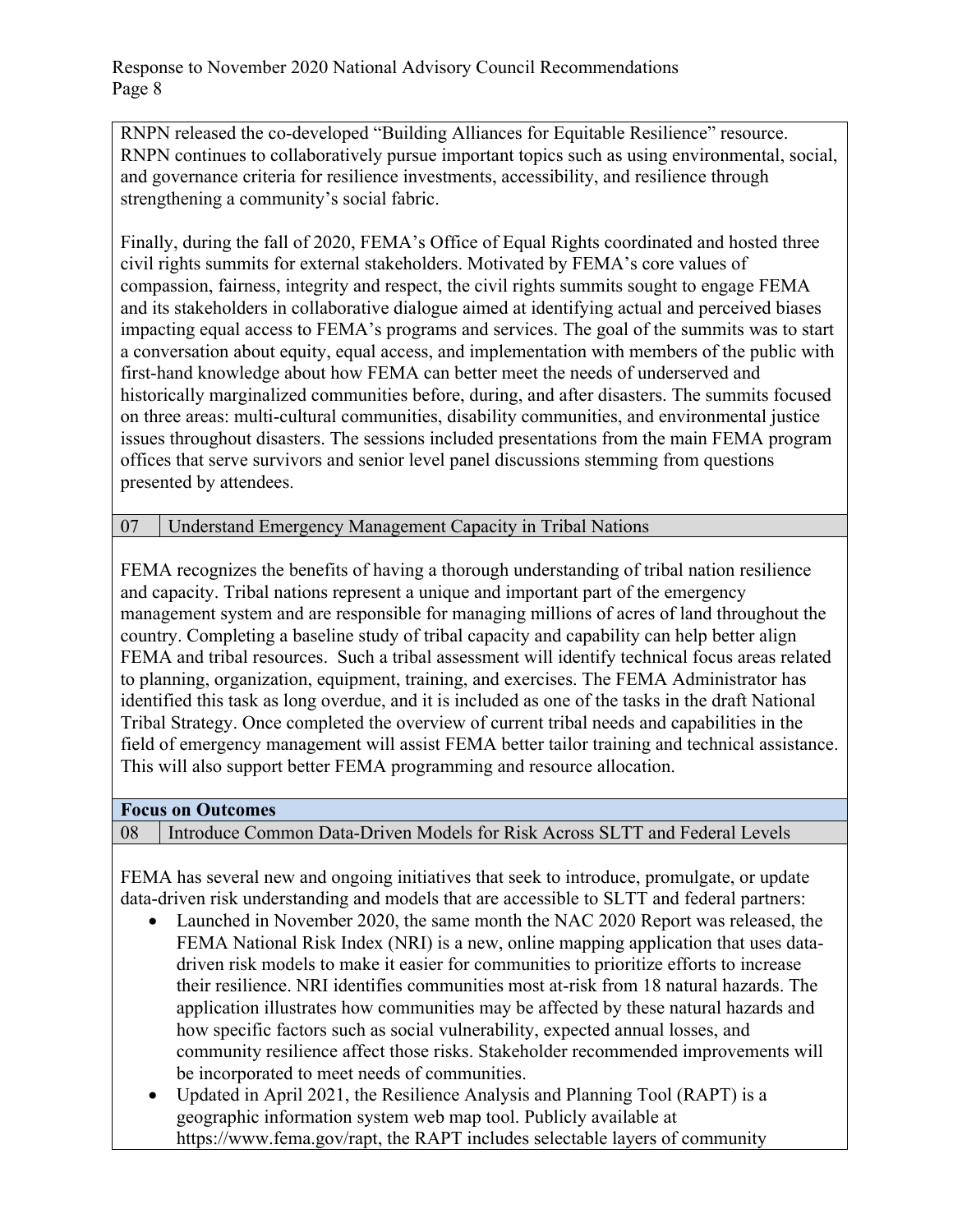RNPN released the co-developed "Building Alliances for Equitable Resilience" resource. RNPN continues to collaboratively pursue important topics such as using environmental, social, and governance criteria for resilience investments, accessibility, and resilience through strengthening a community's social fabric.

Finally, during the fall of 2020, FEMA's Office of Equal Rights coordinated and hosted three civil rights summits for external stakeholders. Motivated by FEMA's core values of compassion, fairness, integrity and respect, the civil rights summits sought to engage FEMA and its stakeholders in collaborative dialogue aimed at identifying actual and perceived biases impacting equal access to FEMA's programs and services. The goal of the summits was to start a conversation about equity, equal access, and implementation with members of the public with first-hand knowledge about how FEMA can better meet the needs of underserved and historically marginalized communities before, during, and after disasters. The summits focused on three areas: multi-cultural communities, disability communities, and environmental justice issues throughout disasters. The sessions included presentations from the main FEMA program offices that serve survivors and senior level panel discussions stemming from questions presented by attendees.

07 Understand Emergency Management Capacity in Tribal Nations

FEMA recognizes the benefits of having a thorough understanding of tribal nation resilience and capacity. Tribal nations represent a unique and important part of the emergency management system and are responsible for managing millions of acres of land throughout the country. Completing a baseline study of tribal capacity and capability can help better align FEMA and tribal resources. Such a tribal assessment will identify technical focus areas related to planning, organization, equipment, training, and exercises. The FEMA Administrator has identified this task as long overdue, and it is included as one of the tasks in the draft National Tribal Strategy. Once completed the overview of current tribal needs and capabilities in the field of emergency management will assist FEMA better tailor training and technical assistance. This will also support better FEMA programming and resource allocation.

#### **Focus on Outcomes**

08 Introduce Common Data-Driven Models for Risk Across SLTT and Federal Levels

FEMA has several new and ongoing initiatives that seek to introduce, promulgate, or update data-driven risk understanding and models that are accessible to SLTT and federal partners:

- Launched in November 2020, the same month the NAC 2020 Report was released, the FEMA National Risk Index (NRI) is a new, online mapping application that uses datadriven risk models to make it easier for communities to prioritize efforts to increase their resilience. NRI identifies communities most at-risk from 18 natural hazards. The application illustrates how communities may be affected by these natural hazards and how specific factors such as social vulnerability, expected annual losses, and community resilience affect those risks. Stakeholder recommended improvements will be incorporated to meet needs of communities.
- Updated in April 2021, the Resilience Analysis and Planning Tool (RAPT) is a geographic information system web map tool. Publicly available at https://www.fema.gov/rapt, the RAPT includes selectable layers of community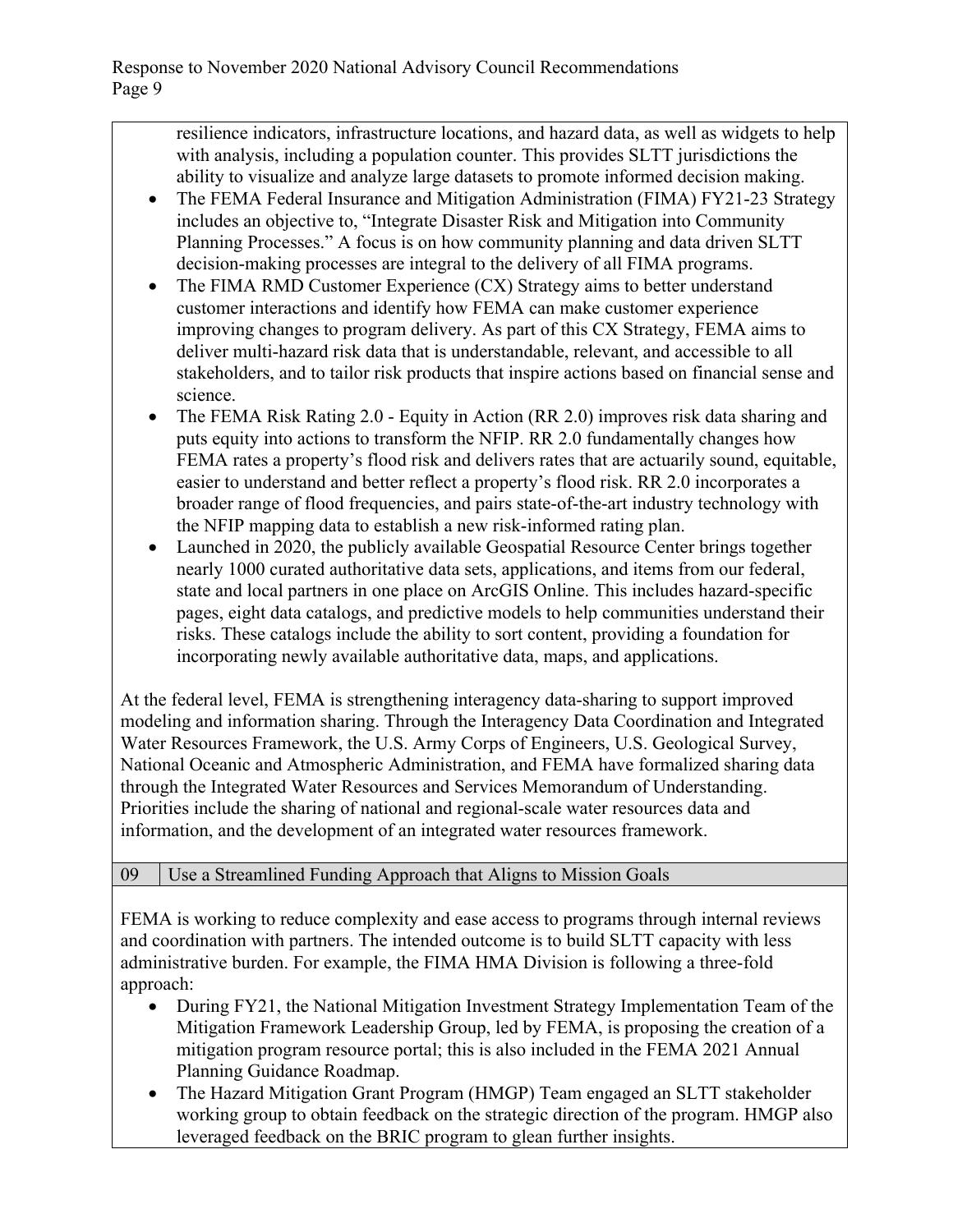resilience indicators, infrastructure locations, and hazard data, as well as widgets to help with analysis, including a population counter. This provides SLTT jurisdictions the ability to visualize and analyze large datasets to promote informed decision making.

- The FEMA Federal Insurance and Mitigation Administration (FIMA) FY21-23 Strategy includes an objective to, "Integrate Disaster Risk and Mitigation into Community Planning Processes." A focus is on how community planning and data driven SLTT decision-making processes are integral to the delivery of all FIMA programs.
- The FIMA RMD Customer Experience (CX) Strategy aims to better understand customer interactions and identify how FEMA can make customer experience improving changes to program delivery. As part of this CX Strategy, FEMA aims to deliver multi-hazard risk data that is understandable, relevant, and accessible to all stakeholders, and to tailor risk products that inspire actions based on financial sense and science.
- The FEMA Risk Rating 2.0 Equity in Action (RR 2.0) improves risk data sharing and puts equity into actions to transform the NFIP. RR 2.0 fundamentally changes how FEMA rates a property's flood risk and delivers rates that are actuarily sound, equitable, easier to understand and better reflect a property's flood risk. RR 2.0 incorporates a broader range of flood frequencies, and pairs state-of-the-art industry technology with the NFIP mapping data to establish a new risk-informed rating plan.
- Launched in 2020, the publicly available Geospatial Resource Center brings together nearly 1000 curated authoritative data sets, applications, and items from our federal, state and local partners in one place on ArcGIS Online. This includes hazard-specific pages, eight data catalogs, and predictive models to help communities understand their risks. These catalogs include the ability to sort content, providing a foundation for incorporating newly available authoritative data, maps, and applications.

At the federal level, FEMA is strengthening interagency data-sharing to support improved modeling and information sharing. Through the Interagency Data Coordination and Integrated Water Resources Framework, the U.S. Army Corps of Engineers, U.S. Geological Survey, National Oceanic and Atmospheric Administration, and FEMA have formalized sharing data through the Integrated Water Resources and Services Memorandum of Understanding. Priorities include the sharing of national and regional-scale water resources data and information, and the development of an integrated water resources framework.

## 09 Use a Streamlined Funding Approach that Aligns to Mission Goals

FEMA is working to reduce complexity and ease access to programs through internal reviews and coordination with partners. The intended outcome is to build SLTT capacity with less administrative burden. For example, the FIMA HMA Division is following a three-fold approach:

- During FY21, the National Mitigation Investment Strategy Implementation Team of the Mitigation Framework Leadership Group, led by FEMA, is proposing the creation of a mitigation program resource portal; this is also included in the FEMA 2021 Annual Planning Guidance Roadmap.
- The Hazard Mitigation Grant Program (HMGP) Team engaged an SLTT stakeholder working group to obtain feedback on the strategic direction of the program. HMGP also leveraged feedback on the BRIC program to glean further insights.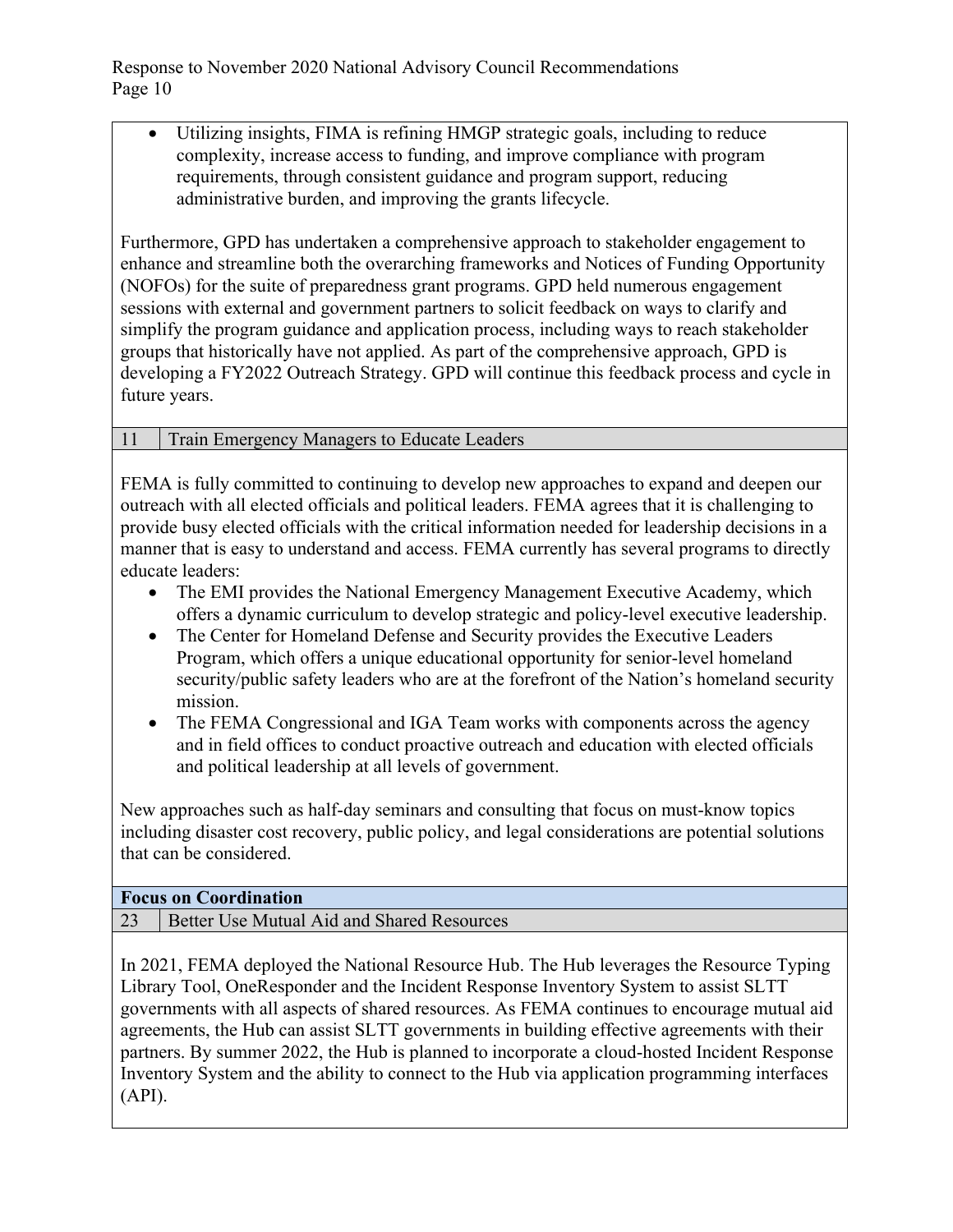Utilizing insights, FIMA is refining HMGP strategic goals, including to reduce complexity, increase access to funding, and improve compliance with program requirements, through consistent guidance and program support, reducing administrative burden, and improving the grants lifecycle.

Furthermore, GPD has undertaken a comprehensive approach to stakeholder engagement to enhance and streamline both the overarching frameworks and Notices of Funding Opportunity (NOFOs) for the suite of preparedness grant programs. GPD held numerous engagement sessions with external and government partners to solicit feedback on ways to clarify and simplify the program guidance and application process, including ways to reach stakeholder groups that historically have not applied. As part of the comprehensive approach, GPD is developing a FY2022 Outreach Strategy. GPD will continue this feedback process and cycle in future years.

### 11 Train Emergency Managers to Educate Leaders

FEMA is fully committed to continuing to develop new approaches to expand and deepen our outreach with all elected officials and political leaders. FEMA agrees that it is challenging to provide busy elected officials with the critical information needed for leadership decisions in a manner that is easy to understand and access. FEMA currently has several programs to directly educate leaders:

- The EMI provides the National Emergency Management Executive Academy, which offers a dynamic curriculum to develop strategic and policy-level executive leadership.
- The Center for Homeland Defense and Security provides the Executive Leaders Program, which offers a unique educational opportunity for senior-level homeland security/public safety leaders who are at the forefront of the Nation's homeland security mission.
- The FEMA Congressional and IGA Team works with components across the agency and in field offices to conduct proactive outreach and education with elected officials and political leadership at all levels of government.

New approaches such as half-day seminars and consulting that focus on must-know topics including disaster cost recovery, public policy, and legal considerations are potential solutions that can be considered.

### **Focus on Coordination**

23 Better Use Mutual Aid and Shared Resources

In 2021, FEMA deployed the National Resource Hub. The Hub leverages the Resource Typing Library Tool, OneResponder and the Incident Response Inventory System to assist SLTT governments with all aspects of shared resources. As FEMA continues to encourage mutual aid agreements, the Hub can assist SLTT governments in building effective agreements with their partners. By summer 2022, the Hub is planned to incorporate a cloud-hosted Incident Response Inventory System and the ability to connect to the Hub via application programming interfaces (API).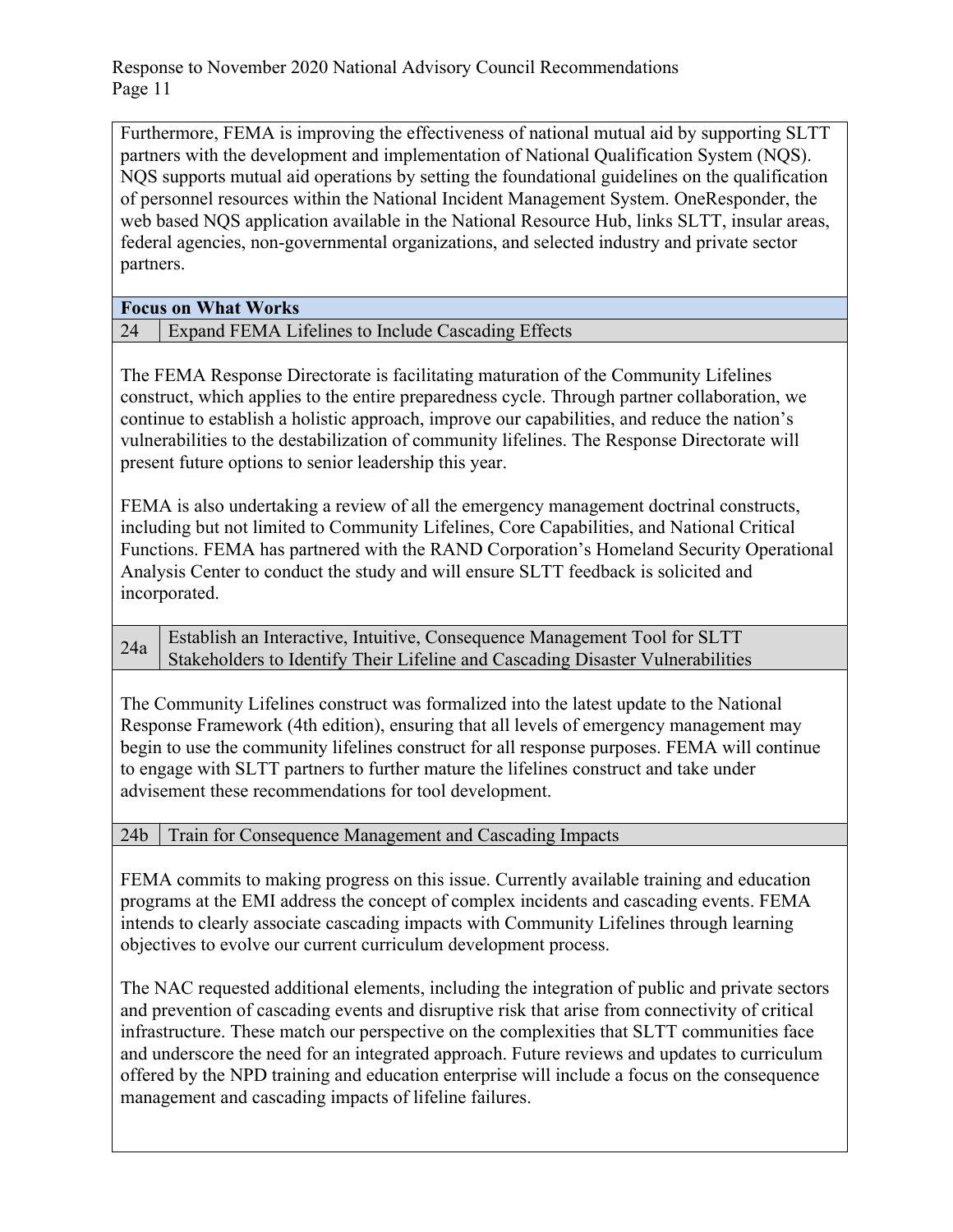Furthermore, FEMA is improving the effectiveness of national mutual aid by supporting SLTT partners with the development and implementation of National Qualification System (NQS). NQS supports mutual aid operations by setting the foundational guidelines on the qualification of personnel resources within the National Incident Management System. OneResponder, the web based NQS application available in the National Resource Hub, links SLTT, insular areas, federal agencies, non-governmental organizations, and selected industry and private sector partners.

**Focus on What Works** 

24 Expand FEMA Lifelines to Include Cascading Effects

The FEMA Response Directorate is facilitating maturation of the Community Lifelines construct, which applies to the entire preparedness cycle. Through partner collaboration, we continue to establish a holistic approach, improve our capabilities, and reduce the nation's vulnerabilities to the destabilization of community lifelines. The Response Directorate will present future options to senior leadership this year.

FEMA is also undertaking a review of all the emergency management doctrinal constructs, including but not limited to Community Lifelines, Core Capabilities, and National Critical Functions. FEMA has partnered with the RAND Corporation's Homeland Security Operational Analysis Center to conduct the study and will ensure SLTT feedback is solicited and incorporated.

 $_{24a}$  Establish an Interactive, Intuitive, Consequence Management Tool for SLTT Stakeholders to Identify Their Lifeline and Cascading Disaster Vulnerabilities

The Community Lifelines construct was formalized into the latest update to the National Response Framework (4th edition), ensuring that all levels of emergency management may begin to use the community lifelines construct for all response purposes. FEMA will continue to engage with SLTT partners to further mature the lifelines construct and take under advisement these recommendations for tool development.

24b Train for Consequence Management and Cascading Impacts

FEMA commits to making progress on this issue. Currently available training and education programs at the EMI address the concept of complex incidents and cascading events. FEMA intends to clearly associate cascading impacts with Community Lifelines through learning objectives to evolve our current curriculum development process.

The NAC requested additional elements, including the integration of public and private sectors and prevention of cascading events and disruptive risk that arise from connectivity of critical infrastructure. These match our perspective on the complexities that SLTT communities face and underscore the need for an integrated approach. Future reviews and updates to curriculum offered by the NPD training and education enterprise will include a focus on the consequence management and cascading impacts of lifeline failures.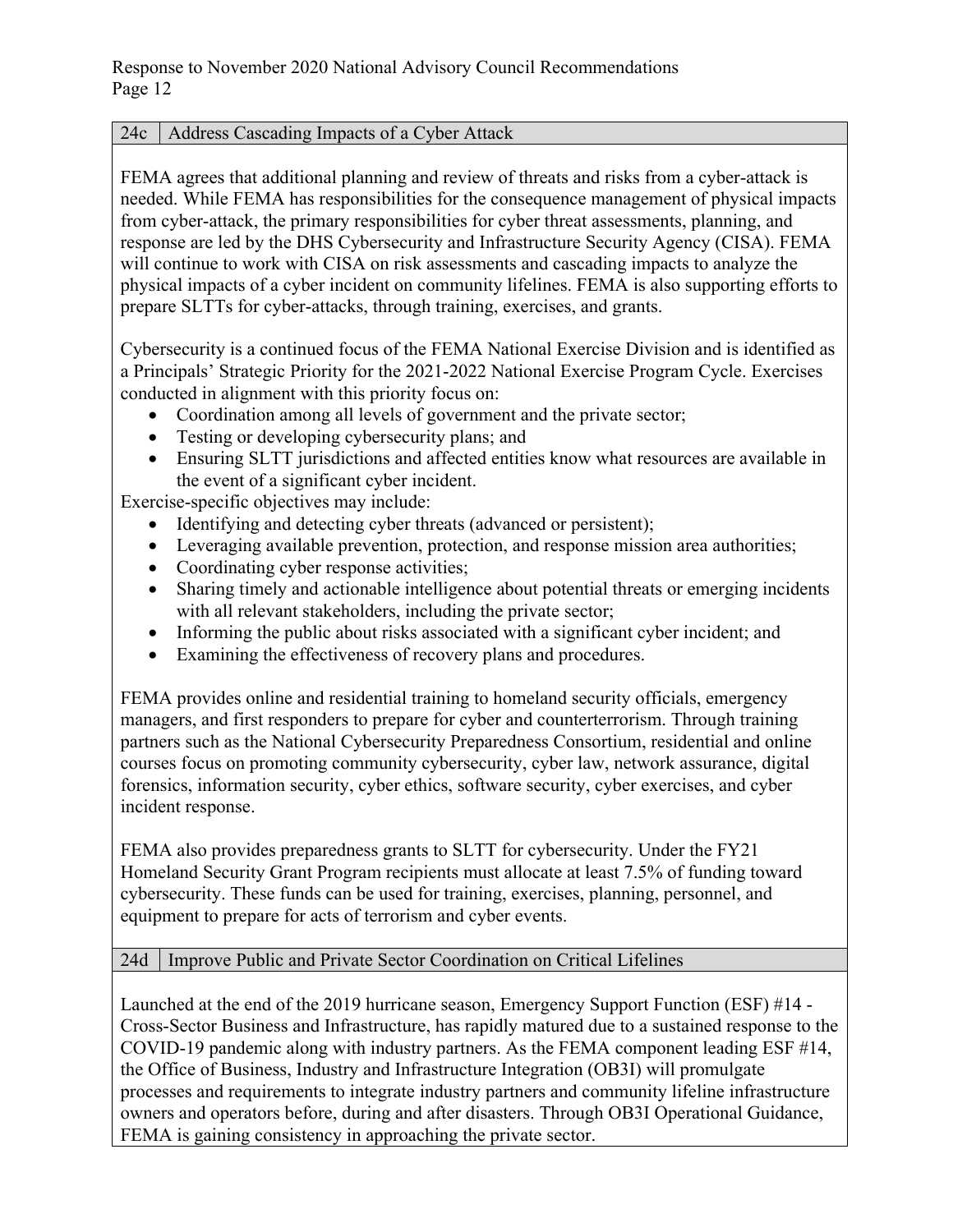### 24c | Address Cascading Impacts of a Cyber Attack

FEMA agrees that additional planning and review of threats and risks from a cyber-attack is needed. While FEMA has responsibilities for the consequence management of physical impacts from cyber-attack, the primary responsibilities for cyber threat assessments, planning, and response are led by the DHS Cybersecurity and Infrastructure Security Agency (CISA). FEMA will continue to work with CISA on risk assessments and cascading impacts to analyze the physical impacts of a cyber incident on community lifelines. FEMA is also supporting efforts to prepare SLTTs for cyber-attacks, through training, exercises, and grants.

Cybersecurity is a continued focus of the FEMA National Exercise Division and is identified as a Principals' Strategic Priority for the 2021-2022 National Exercise Program Cycle. Exercises conducted in alignment with this priority focus on:

- Coordination among all levels of government and the private sector;
- Testing or developing cybersecurity plans; and
- Ensuring SLTT jurisdictions and affected entities know what resources are available in the event of a significant cyber incident.

Exercise-specific objectives may include:

- Identifying and detecting cyber threats (advanced or persistent);
- Leveraging available prevention, protection, and response mission area authorities;
- Coordinating cyber response activities;
- Sharing timely and actionable intelligence about potential threats or emerging incidents with all relevant stakeholders, including the private sector;
- Informing the public about risks associated with a significant cyber incident; and
- Examining the effectiveness of recovery plans and procedures.

FEMA provides online and residential training to homeland security officials, emergency managers, and first responders to prepare for cyber and counterterrorism. Through training partners such as the National Cybersecurity Preparedness Consortium, residential and online courses focus on promoting community cybersecurity, cyber law, network assurance, digital forensics, information security, cyber ethics, software security, cyber exercises, and cyber incident response.

FEMA also provides preparedness grants to SLTT for cybersecurity. Under the FY21 Homeland Security Grant Program recipients must allocate at least 7.5% of funding toward cybersecurity. These funds can be used for training, exercises, planning, personnel, and equipment to prepare for acts of terrorism and cyber events.

### 24d Improve Public and Private Sector Coordination on Critical Lifelines

Launched at the end of the 2019 hurricane season, Emergency Support Function (ESF) #14 - Cross-Sector Business and Infrastructure, has rapidly matured due to a sustained response to the COVID-19 pandemic along with industry partners. As the FEMA component leading ESF #14, the Office of Business, Industry and Infrastructure Integration (OB3I) will promulgate processes and requirements to integrate industry partners and community lifeline infrastructure owners and operators before, during and after disasters. Through OB3I Operational Guidance, FEMA is gaining consistency in approaching the private sector.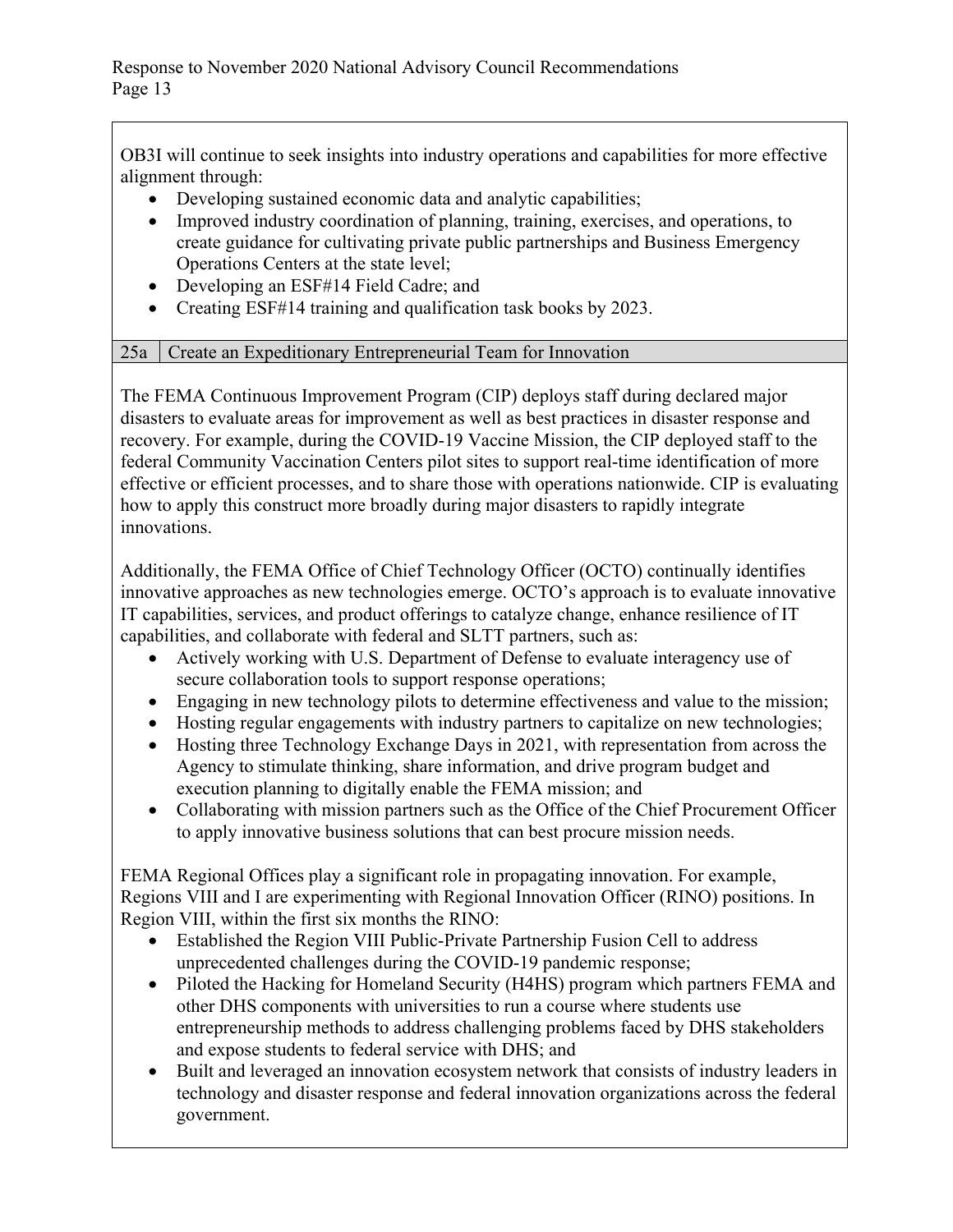OB3I will continue to seek insights into industry operations and capabilities for more effective alignment through:

- Developing sustained economic data and analytic capabilities;
- Improved industry coordination of planning, training, exercises, and operations, to create guidance for cultivating private public partnerships and Business Emergency Operations Centers at the state level;
- Developing an ESF#14 Field Cadre; and
- Creating ESF#14 training and qualification task books by 2023.

# 25a Create an Expeditionary Entrepreneurial Team for Innovation

The FEMA Continuous Improvement Program (CIP) deploys staff during declared major disasters to evaluate areas for improvement as well as best practices in disaster response and recovery. For example, during the COVID-19 Vaccine Mission, the CIP deployed staff to the federal Community Vaccination Centers pilot sites to support real-time identification of more effective or efficient processes, and to share those with operations nationwide. CIP is evaluating how to apply this construct more broadly during major disasters to rapidly integrate innovations.

Additionally, the FEMA Office of Chief Technology Officer (OCTO) continually identifies innovative approaches as new technologies emerge. OCTO's approach is to evaluate innovative IT capabilities, services, and product offerings to catalyze change, enhance resilience of IT capabilities, and collaborate with federal and SLTT partners, such as:

- Actively working with U.S. Department of Defense to evaluate interagency use of secure collaboration tools to support response operations;
- Engaging in new technology pilots to determine effectiveness and value to the mission;
- Hosting regular engagements with industry partners to capitalize on new technologies;
- Hosting three Technology Exchange Days in 2021, with representation from across the Agency to stimulate thinking, share information, and drive program budget and execution planning to digitally enable the FEMA mission; and
- Collaborating with mission partners such as the Office of the Chief Procurement Officer to apply innovative business solutions that can best procure mission needs.

FEMA Regional Offices play a significant role in propagating innovation. For example, Regions VIII and I are experimenting with Regional Innovation Officer (RINO) positions. In Region VIII, within the first six months the RINO:

- Established the Region VIII Public-Private Partnership Fusion Cell to address unprecedented challenges during the COVID-19 pandemic response;
- Piloted the Hacking for Homeland Security (H4HS) program which partners FEMA and other DHS components with universities to run a course where students use entrepreneurship methods to address challenging problems faced by DHS stakeholders and expose students to federal service with DHS; and
- Built and leveraged an innovation ecosystem network that consists of industry leaders in technology and disaster response and federal innovation organizations across the federal government.